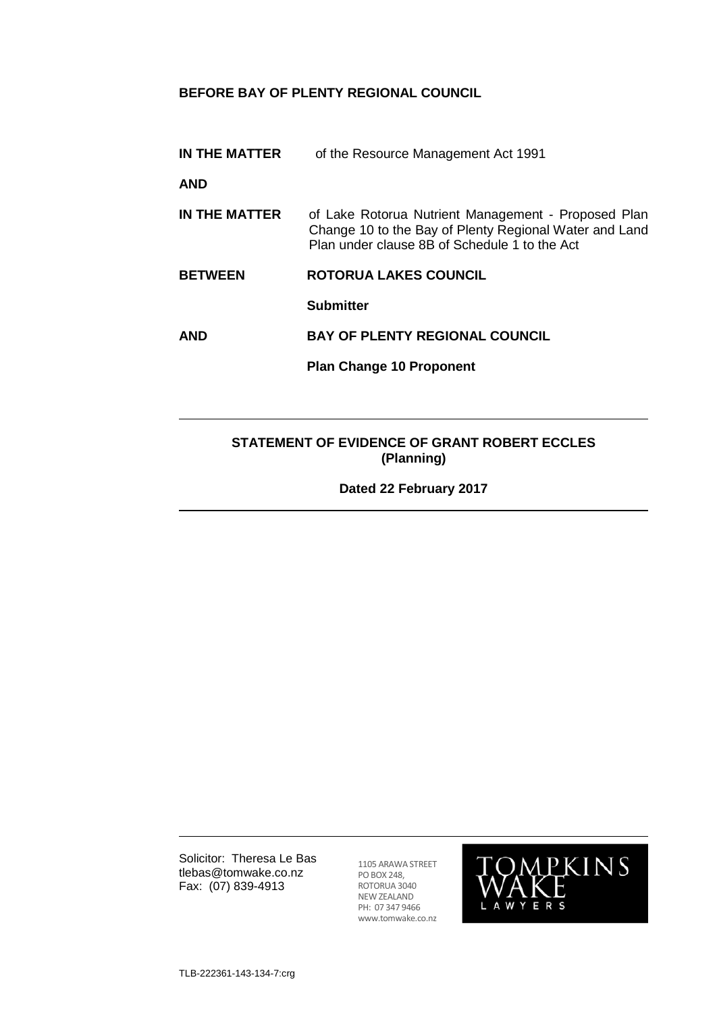## **BEFORE BAY OF PLENTY REGIONAL COUNCIL**

**IN THE MATTER** of the Resource Management Act 1991

**AND**

- **IN THE MATTER** of Lake Rotorua Nutrient Management Proposed Plan Change 10 to the Bay of Plenty Regional Water and Land Plan under clause 8B of Schedule 1 to the Act
- **BETWEEN ROTORUA LAKES COUNCIL**

**Submitter**

**AND BAY OF PLENTY REGIONAL COUNCIL**

**Plan Change 10 Proponent**

## **STATEMENT OF EVIDENCE OF GRANT ROBERT ECCLES (Planning)**

**Dated 22 February 2017**

Solicitor: Theresa Le Bas tlebas@tomwake.co.nz Fax: (07) 839-4913

1105 ARAWA STREET PO BOX 248, ROTORUA 3040 NEW ZEALAND PH: 07 347 9466 www.tomwake.co.nz

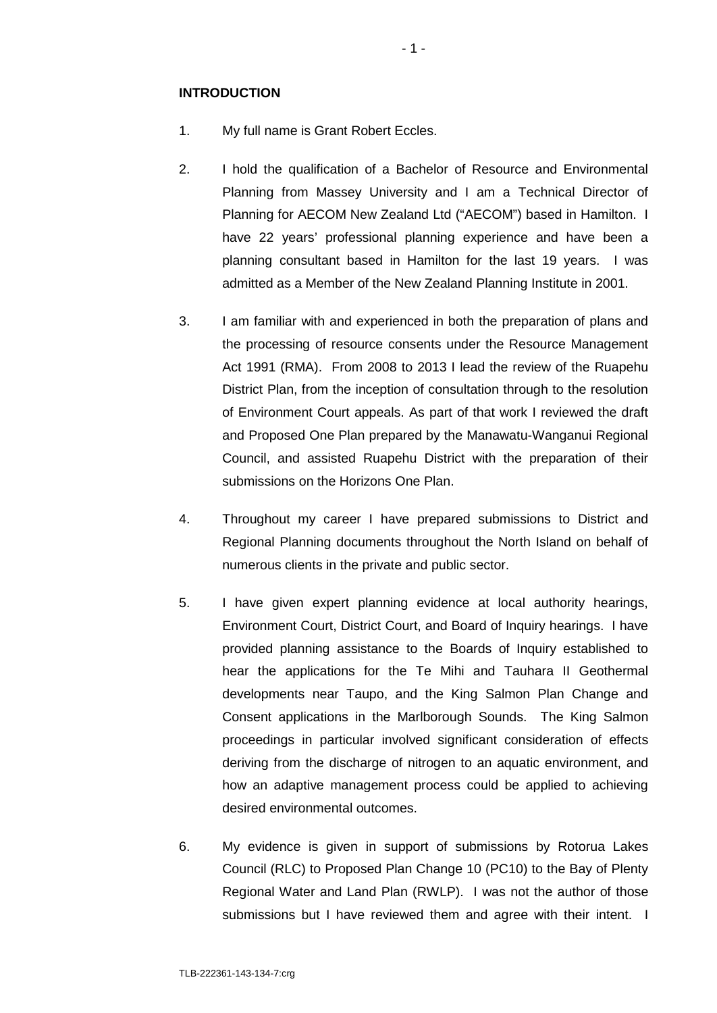### **INTRODUCTION**

- 1. My full name is Grant Robert Eccles.
- 2. I hold the qualification of a Bachelor of Resource and Environmental Planning from Massey University and I am a Technical Director of Planning for AECOM New Zealand Ltd ("AECOM") based in Hamilton. I have 22 years' professional planning experience and have been a planning consultant based in Hamilton for the last 19 years. I was admitted as a Member of the New Zealand Planning Institute in 2001.
- 3. I am familiar with and experienced in both the preparation of plans and the processing of resource consents under the Resource Management Act 1991 (RMA). From 2008 to 2013 I lead the review of the Ruapehu District Plan, from the inception of consultation through to the resolution of Environment Court appeals. As part of that work I reviewed the draft and Proposed One Plan prepared by the Manawatu-Wanganui Regional Council, and assisted Ruapehu District with the preparation of their submissions on the Horizons One Plan.
- 4. Throughout my career I have prepared submissions to District and Regional Planning documents throughout the North Island on behalf of numerous clients in the private and public sector.
- 5. I have given expert planning evidence at local authority hearings, Environment Court, District Court, and Board of Inquiry hearings. I have provided planning assistance to the Boards of Inquiry established to hear the applications for the Te Mihi and Tauhara II Geothermal developments near Taupo, and the King Salmon Plan Change and Consent applications in the Marlborough Sounds. The King Salmon proceedings in particular involved significant consideration of effects deriving from the discharge of nitrogen to an aquatic environment, and how an adaptive management process could be applied to achieving desired environmental outcomes.
- 6. My evidence is given in support of submissions by Rotorua Lakes Council (RLC) to Proposed Plan Change 10 (PC10) to the Bay of Plenty Regional Water and Land Plan (RWLP). I was not the author of those submissions but I have reviewed them and agree with their intent. I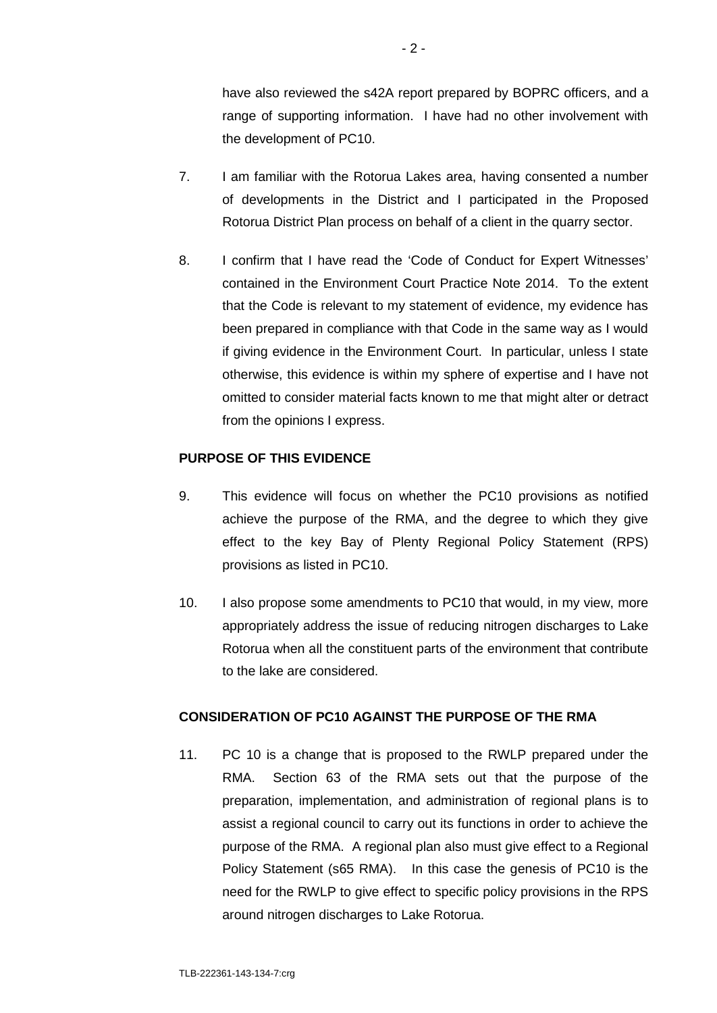have also reviewed the s42A report prepared by BOPRC officers, and a range of supporting information. I have had no other involvement with the development of PC10.

- 7. I am familiar with the Rotorua Lakes area, having consented a number of developments in the District and I participated in the Proposed Rotorua District Plan process on behalf of a client in the quarry sector.
- 8. I confirm that I have read the 'Code of Conduct for Expert Witnesses' contained in the Environment Court Practice Note 2014. To the extent that the Code is relevant to my statement of evidence, my evidence has been prepared in compliance with that Code in the same way as I would if giving evidence in the Environment Court. In particular, unless I state otherwise, this evidence is within my sphere of expertise and I have not omitted to consider material facts known to me that might alter or detract from the opinions I express.

## **PURPOSE OF THIS EVIDENCE**

- 9. This evidence will focus on whether the PC10 provisions as notified achieve the purpose of the RMA, and the degree to which they give effect to the key Bay of Plenty Regional Policy Statement (RPS) provisions as listed in PC10.
- 10. I also propose some amendments to PC10 that would, in my view, more appropriately address the issue of reducing nitrogen discharges to Lake Rotorua when all the constituent parts of the environment that contribute to the lake are considered.

### **CONSIDERATION OF PC10 AGAINST THE PURPOSE OF THE RMA**

11. PC 10 is a change that is proposed to the RWLP prepared under the RMA. Section 63 of the RMA sets out that the purpose of the preparation, implementation, and administration of regional plans is to assist a regional council to carry out its functions in order to achieve the purpose of the RMA. A regional plan also must give effect to a Regional Policy Statement (s65 RMA). In this case the genesis of PC10 is the need for the RWLP to give effect to specific policy provisions in the RPS around nitrogen discharges to Lake Rotorua.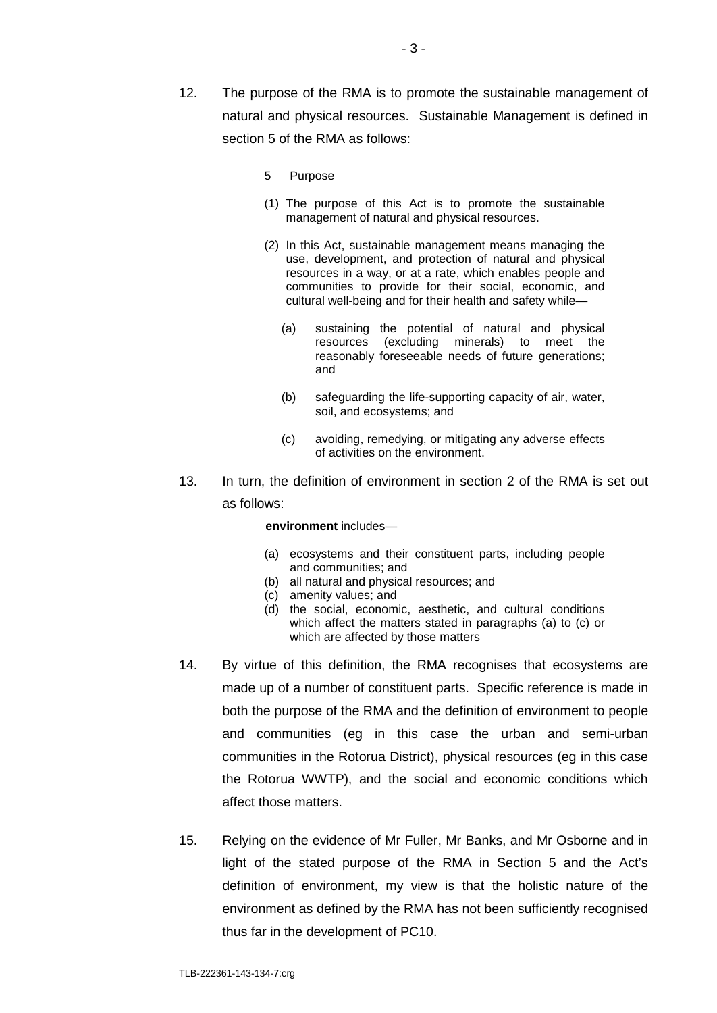- 12. The purpose of the RMA is to promote the sustainable management of natural and physical resources. Sustainable Management is defined in section 5 of the RMA as follows:
	- 5 Purpose
	- (1) The purpose of this Act is to promote the sustainable management of natural and physical resources.
	- (2) In this Act, sustainable management means managing the use, development, and protection of natural and physical resources in a way, or at a rate, which enables people and communities to provide for their social, economic, and cultural well-being and for their health and safety while—
		- (a) sustaining the potential of natural and physical resources (excluding minerals) to meet the reasonably foreseeable needs of future generations; and
		- (b) safeguarding the life-supporting capacity of air, water, soil, and ecosystems; and
		- (c) avoiding, remedying, or mitigating any adverse effects of activities on the environment.
- 13. In turn, the definition of environment in section 2 of the RMA is set out as follows:

#### **environment** includes—

- (a) ecosystems and their constituent parts, including people and communities; and
- (b) all natural and physical resources; and
- (c) amenity values; and
- (d) the social, economic, aesthetic, and cultural conditions which affect the matters stated in paragraphs (a) to (c) or which are affected by those matters
- 14. By virtue of this definition, the RMA recognises that ecosystems are made up of a number of constituent parts. Specific reference is made in both the purpose of the RMA and the definition of environment to people and communities (eg in this case the urban and semi-urban communities in the Rotorua District), physical resources (eg in this case the Rotorua WWTP), and the social and economic conditions which affect those matters.
- 15. Relying on the evidence of Mr Fuller, Mr Banks, and Mr Osborne and in light of the stated purpose of the RMA in Section 5 and the Act's definition of environment, my view is that the holistic nature of the environment as defined by the RMA has not been sufficiently recognised thus far in the development of PC10.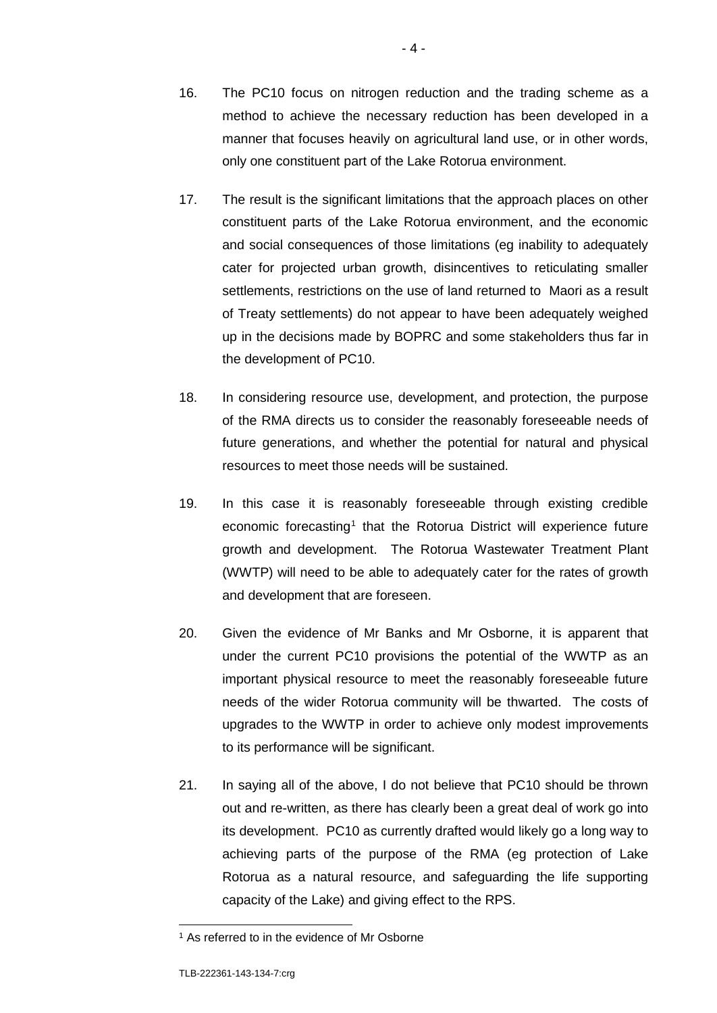- 16. The PC10 focus on nitrogen reduction and the trading scheme as a method to achieve the necessary reduction has been developed in a manner that focuses heavily on agricultural land use, or in other words, only one constituent part of the Lake Rotorua environment.
- 17. The result is the significant limitations that the approach places on other constituent parts of the Lake Rotorua environment, and the economic and social consequences of those limitations (eg inability to adequately cater for projected urban growth, disincentives to reticulating smaller settlements, restrictions on the use of land returned to Maori as a result of Treaty settlements) do not appear to have been adequately weighed up in the decisions made by BOPRC and some stakeholders thus far in the development of PC10.
- 18. In considering resource use, development, and protection, the purpose of the RMA directs us to consider the reasonably foreseeable needs of future generations, and whether the potential for natural and physical resources to meet those needs will be sustained.
- 19. In this case it is reasonably foreseeable through existing credible economic forecasting<sup>[1](#page-4-0)</sup> that the Rotorua District will experience future growth and development. The Rotorua Wastewater Treatment Plant (WWTP) will need to be able to adequately cater for the rates of growth and development that are foreseen.
- 20. Given the evidence of Mr Banks and Mr Osborne, it is apparent that under the current PC10 provisions the potential of the WWTP as an important physical resource to meet the reasonably foreseeable future needs of the wider Rotorua community will be thwarted. The costs of upgrades to the WWTP in order to achieve only modest improvements to its performance will be significant.
- 21. In saying all of the above, I do not believe that PC10 should be thrown out and re-written, as there has clearly been a great deal of work go into its development. PC10 as currently drafted would likely go a long way to achieving parts of the purpose of the RMA (eg protection of Lake Rotorua as a natural resource, and safeguarding the life supporting capacity of the Lake) and giving effect to the RPS.

<span id="page-4-0"></span><sup>&</sup>lt;sup>1</sup> As referred to in the evidence of Mr Osborne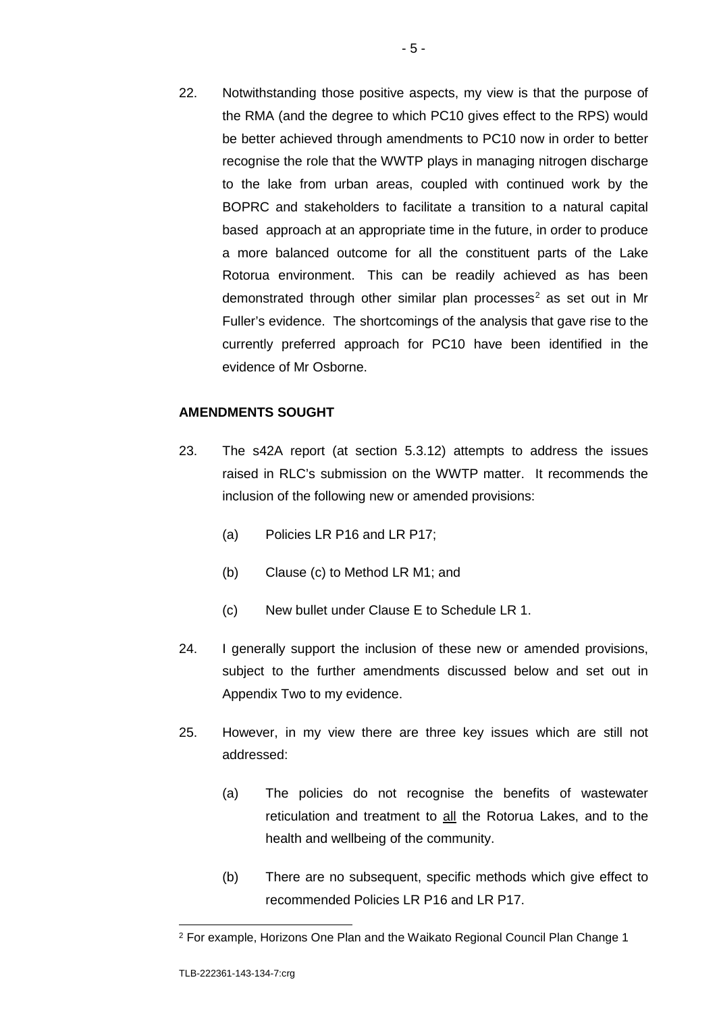22. Notwithstanding those positive aspects, my view is that the purpose of the RMA (and the degree to which PC10 gives effect to the RPS) would be better achieved through amendments to PC10 now in order to better recognise the role that the WWTP plays in managing nitrogen discharge to the lake from urban areas, coupled with continued work by the BOPRC and stakeholders to facilitate a transition to a natural capital based approach at an appropriate time in the future, in order to produce a more balanced outcome for all the constituent parts of the Lake Rotorua environment. This can be readily achieved as has been demonstrated through other similar plan processes<sup>[2](#page-5-0)</sup> as set out in Mr Fuller's evidence. The shortcomings of the analysis that gave rise to the currently preferred approach for PC10 have been identified in the evidence of Mr Osborne.

## **AMENDMENTS SOUGHT**

- 23. The s42A report (at section 5.3.12) attempts to address the issues raised in RLC's submission on the WWTP matter. It recommends the inclusion of the following new or amended provisions:
	- (a) Policies LR P16 and LR P17;
	- (b) Clause (c) to Method LR M1; and
	- (c) New bullet under Clause E to Schedule LR 1.
- 24. I generally support the inclusion of these new or amended provisions, subject to the further amendments discussed below and set out in Appendix Two to my evidence.
- 25. However, in my view there are three key issues which are still not addressed:
	- (a) The policies do not recognise the benefits of wastewater reticulation and treatment to all the Rotorua Lakes, and to the health and wellbeing of the community.
	- (b) There are no subsequent, specific methods which give effect to recommended Policies LR P16 and LR P17.

<span id="page-5-0"></span> <sup>2</sup> For example, Horizons One Plan and the Waikato Regional Council Plan Change 1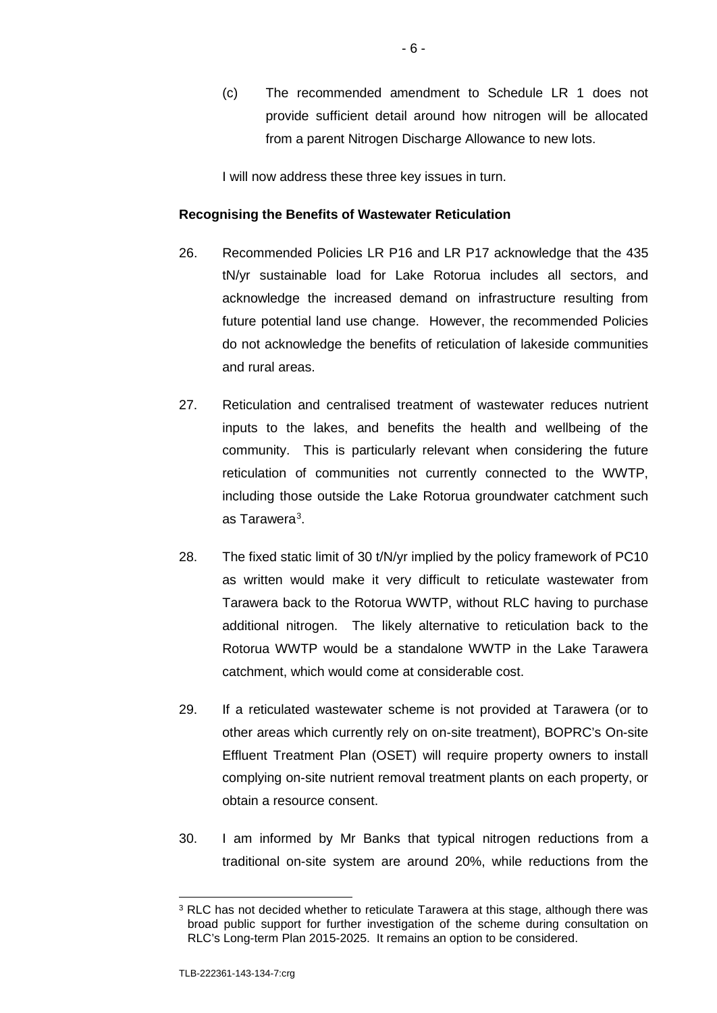(c) The recommended amendment to Schedule LR 1 does not provide sufficient detail around how nitrogen will be allocated from a parent Nitrogen Discharge Allowance to new lots.

I will now address these three key issues in turn.

### **Recognising the Benefits of Wastewater Reticulation**

- 26. Recommended Policies LR P16 and LR P17 acknowledge that the 435 tN/yr sustainable load for Lake Rotorua includes all sectors, and acknowledge the increased demand on infrastructure resulting from future potential land use change. However, the recommended Policies do not acknowledge the benefits of reticulation of lakeside communities and rural areas.
- 27. Reticulation and centralised treatment of wastewater reduces nutrient inputs to the lakes, and benefits the health and wellbeing of the community. This is particularly relevant when considering the future reticulation of communities not currently connected to the WWTP, including those outside the Lake Rotorua groundwater catchment such as Tarawera<sup>[3](#page-6-0)</sup>.
- 28. The fixed static limit of 30 t/N/yr implied by the policy framework of PC10 as written would make it very difficult to reticulate wastewater from Tarawera back to the Rotorua WWTP, without RLC having to purchase additional nitrogen. The likely alternative to reticulation back to the Rotorua WWTP would be a standalone WWTP in the Lake Tarawera catchment, which would come at considerable cost.
- 29. If a reticulated wastewater scheme is not provided at Tarawera (or to other areas which currently rely on on-site treatment), BOPRC's On-site Effluent Treatment Plan (OSET) will require property owners to install complying on-site nutrient removal treatment plants on each property, or obtain a resource consent.
- 30. I am informed by Mr Banks that typical nitrogen reductions from a traditional on-site system are around 20%, while reductions from the

<span id="page-6-0"></span> $3$  RLC has not decided whether to reticulate Tarawera at this stage, although there was broad public support for further investigation of the scheme during consultation on RLC's Long-term Plan 2015-2025. It remains an option to be considered.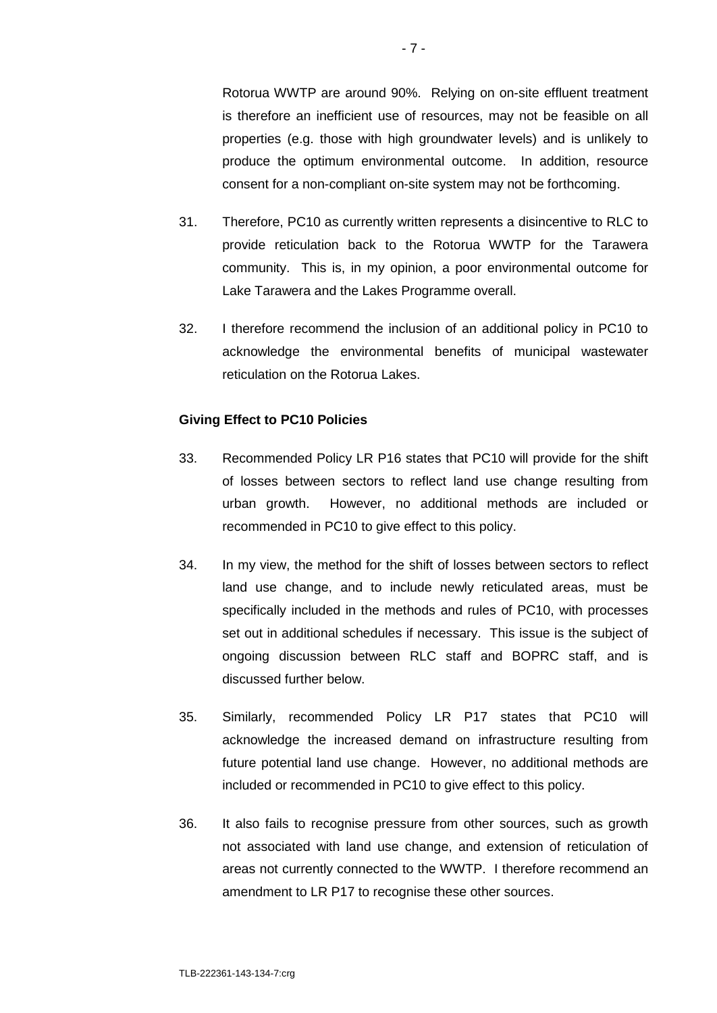Rotorua WWTP are around 90%. Relying on on-site effluent treatment is therefore an inefficient use of resources, may not be feasible on all properties (e.g. those with high groundwater levels) and is unlikely to produce the optimum environmental outcome. In addition, resource consent for a non-compliant on-site system may not be forthcoming.

- 31. Therefore, PC10 as currently written represents a disincentive to RLC to provide reticulation back to the Rotorua WWTP for the Tarawera community. This is, in my opinion, a poor environmental outcome for Lake Tarawera and the Lakes Programme overall.
- 32. I therefore recommend the inclusion of an additional policy in PC10 to acknowledge the environmental benefits of municipal wastewater reticulation on the Rotorua Lakes.

### **Giving Effect to PC10 Policies**

- 33. Recommended Policy LR P16 states that PC10 will provide for the shift of losses between sectors to reflect land use change resulting from urban growth. However, no additional methods are included or recommended in PC10 to give effect to this policy.
- 34. In my view, the method for the shift of losses between sectors to reflect land use change, and to include newly reticulated areas, must be specifically included in the methods and rules of PC10, with processes set out in additional schedules if necessary. This issue is the subject of ongoing discussion between RLC staff and BOPRC staff, and is discussed further below.
- 35. Similarly, recommended Policy LR P17 states that PC10 will acknowledge the increased demand on infrastructure resulting from future potential land use change. However, no additional methods are included or recommended in PC10 to give effect to this policy.
- 36. It also fails to recognise pressure from other sources, such as growth not associated with land use change, and extension of reticulation of areas not currently connected to the WWTP. I therefore recommend an amendment to LR P17 to recognise these other sources.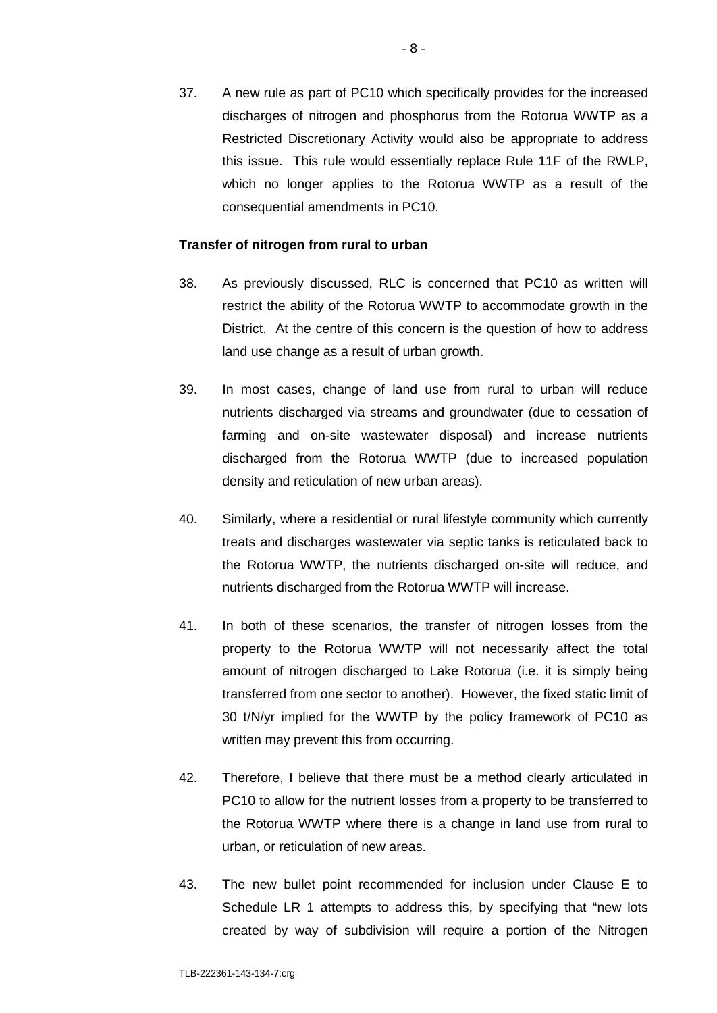37. A new rule as part of PC10 which specifically provides for the increased discharges of nitrogen and phosphorus from the Rotorua WWTP as a Restricted Discretionary Activity would also be appropriate to address this issue. This rule would essentially replace Rule 11F of the RWLP, which no longer applies to the Rotorua WWTP as a result of the consequential amendments in PC10.

### **Transfer of nitrogen from rural to urban**

- 38. As previously discussed, RLC is concerned that PC10 as written will restrict the ability of the Rotorua WWTP to accommodate growth in the District. At the centre of this concern is the question of how to address land use change as a result of urban growth.
- 39. In most cases, change of land use from rural to urban will reduce nutrients discharged via streams and groundwater (due to cessation of farming and on-site wastewater disposal) and increase nutrients discharged from the Rotorua WWTP (due to increased population density and reticulation of new urban areas).
- 40. Similarly, where a residential or rural lifestyle community which currently treats and discharges wastewater via septic tanks is reticulated back to the Rotorua WWTP, the nutrients discharged on-site will reduce, and nutrients discharged from the Rotorua WWTP will increase.
- 41. In both of these scenarios, the transfer of nitrogen losses from the property to the Rotorua WWTP will not necessarily affect the total amount of nitrogen discharged to Lake Rotorua (i.e. it is simply being transferred from one sector to another). However, the fixed static limit of 30 t/N/yr implied for the WWTP by the policy framework of PC10 as written may prevent this from occurring.
- 42. Therefore, I believe that there must be a method clearly articulated in PC10 to allow for the nutrient losses from a property to be transferred to the Rotorua WWTP where there is a change in land use from rural to urban, or reticulation of new areas.
- 43. The new bullet point recommended for inclusion under Clause E to Schedule LR 1 attempts to address this, by specifying that "new lots created by way of subdivision will require a portion of the Nitrogen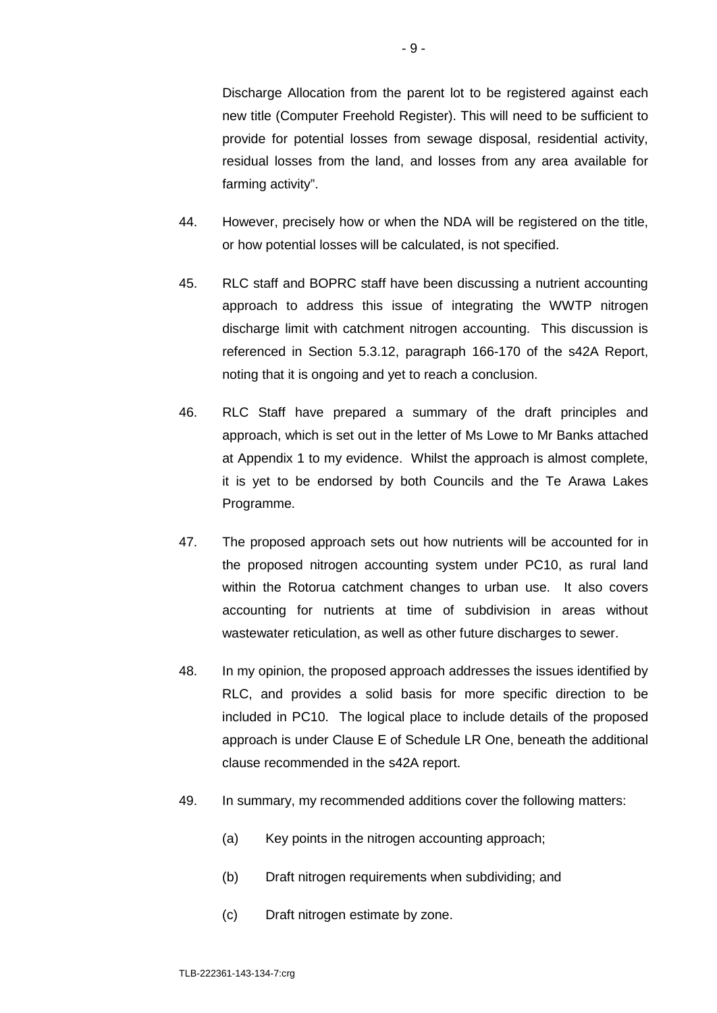Discharge Allocation from the parent lot to be registered against each new title (Computer Freehold Register). This will need to be sufficient to provide for potential losses from sewage disposal, residential activity, residual losses from the land, and losses from any area available for farming activity".

- 44. However, precisely how or when the NDA will be registered on the title, or how potential losses will be calculated, is not specified.
- 45. RLC staff and BOPRC staff have been discussing a nutrient accounting approach to address this issue of integrating the WWTP nitrogen discharge limit with catchment nitrogen accounting. This discussion is referenced in Section 5.3.12, paragraph 166-170 of the s42A Report, noting that it is ongoing and yet to reach a conclusion.
- 46. RLC Staff have prepared a summary of the draft principles and approach, which is set out in the letter of Ms Lowe to Mr Banks attached at Appendix 1 to my evidence. Whilst the approach is almost complete, it is yet to be endorsed by both Councils and the Te Arawa Lakes Programme.
- 47. The proposed approach sets out how nutrients will be accounted for in the proposed nitrogen accounting system under PC10, as rural land within the Rotorua catchment changes to urban use. It also covers accounting for nutrients at time of subdivision in areas without wastewater reticulation, as well as other future discharges to sewer.
- 48. In my opinion, the proposed approach addresses the issues identified by RLC, and provides a solid basis for more specific direction to be included in PC10. The logical place to include details of the proposed approach is under Clause E of Schedule LR One, beneath the additional clause recommended in the s42A report.
- 49. In summary, my recommended additions cover the following matters:
	- (a) Key points in the nitrogen accounting approach;
	- (b) Draft nitrogen requirements when subdividing; and
	- (c) Draft nitrogen estimate by zone.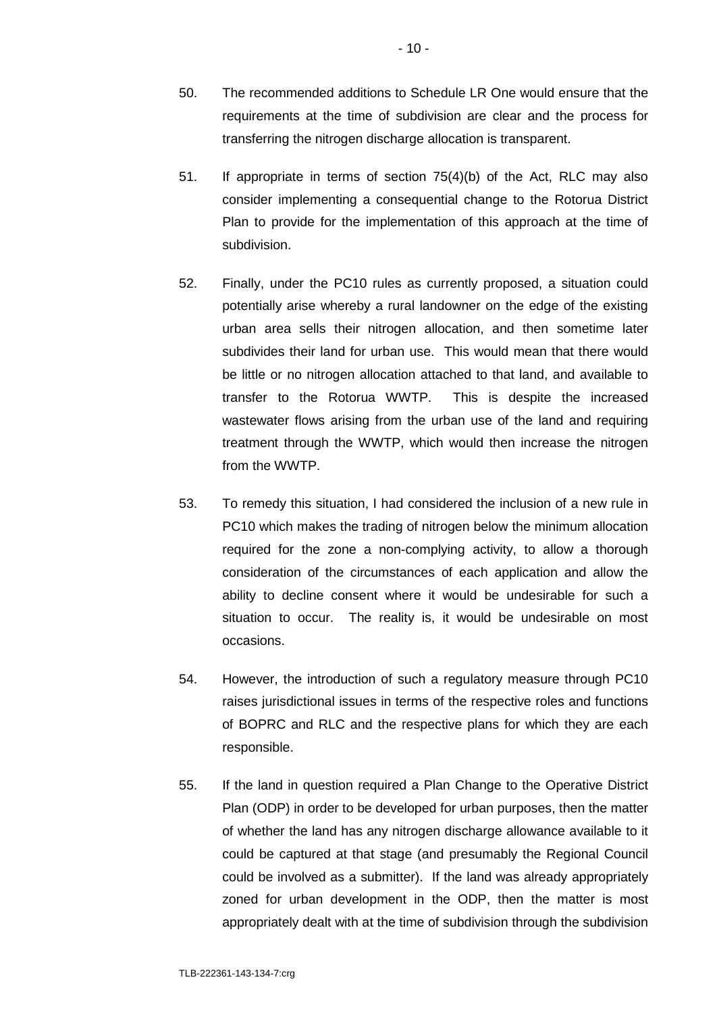- 51. If appropriate in terms of section 75(4)(b) of the Act, RLC may also consider implementing a consequential change to the Rotorua District Plan to provide for the implementation of this approach at the time of subdivision.
- 52. Finally, under the PC10 rules as currently proposed, a situation could potentially arise whereby a rural landowner on the edge of the existing urban area sells their nitrogen allocation, and then sometime later subdivides their land for urban use. This would mean that there would be little or no nitrogen allocation attached to that land, and available to transfer to the Rotorua WWTP. This is despite the increased wastewater flows arising from the urban use of the land and requiring treatment through the WWTP, which would then increase the nitrogen from the WWTP.
- 53. To remedy this situation, I had considered the inclusion of a new rule in PC10 which makes the trading of nitrogen below the minimum allocation required for the zone a non-complying activity, to allow a thorough consideration of the circumstances of each application and allow the ability to decline consent where it would be undesirable for such a situation to occur. The reality is, it would be undesirable on most occasions.
- 54. However, the introduction of such a regulatory measure through PC10 raises jurisdictional issues in terms of the respective roles and functions of BOPRC and RLC and the respective plans for which they are each responsible.
- 55. If the land in question required a Plan Change to the Operative District Plan (ODP) in order to be developed for urban purposes, then the matter of whether the land has any nitrogen discharge allowance available to it could be captured at that stage (and presumably the Regional Council could be involved as a submitter). If the land was already appropriately zoned for urban development in the ODP, then the matter is most appropriately dealt with at the time of subdivision through the subdivision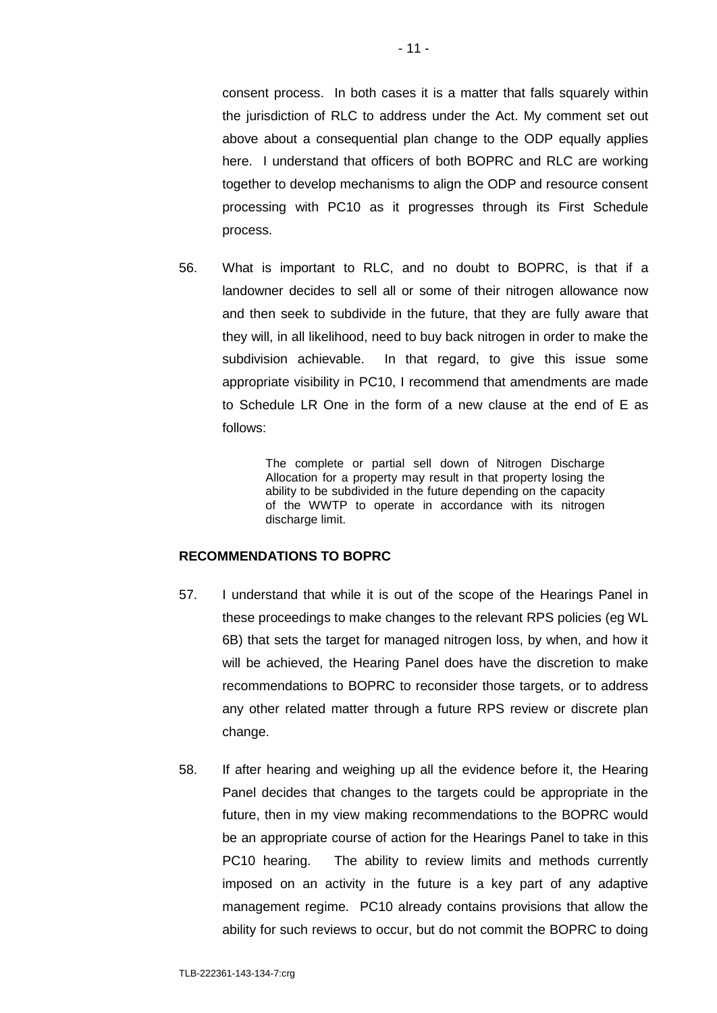consent process. In both cases it is a matter that falls squarely within the jurisdiction of RLC to address under the Act. My comment set out above about a consequential plan change to the ODP equally applies here. I understand that officers of both BOPRC and RLC are working together to develop mechanisms to align the ODP and resource consent processing with PC10 as it progresses through its First Schedule process.

56. What is important to RLC, and no doubt to BOPRC, is that if a landowner decides to sell all or some of their nitrogen allowance now and then seek to subdivide in the future, that they are fully aware that they will, in all likelihood, need to buy back nitrogen in order to make the subdivision achievable. In that regard, to give this issue some appropriate visibility in PC10, I recommend that amendments are made to Schedule LR One in the form of a new clause at the end of E as follows:

> The complete or partial sell down of Nitrogen Discharge Allocation for a property may result in that property losing the ability to be subdivided in the future depending on the capacity of the WWTP to operate in accordance with its nitrogen discharge limit.

### **RECOMMENDATIONS TO BOPRC**

- 57. I understand that while it is out of the scope of the Hearings Panel in these proceedings to make changes to the relevant RPS policies (eg WL 6B) that sets the target for managed nitrogen loss, by when, and how it will be achieved, the Hearing Panel does have the discretion to make recommendations to BOPRC to reconsider those targets, or to address any other related matter through a future RPS review or discrete plan change.
- 58. If after hearing and weighing up all the evidence before it, the Hearing Panel decides that changes to the targets could be appropriate in the future, then in my view making recommendations to the BOPRC would be an appropriate course of action for the Hearings Panel to take in this PC10 hearing. The ability to review limits and methods currently imposed on an activity in the future is a key part of any adaptive management regime. PC10 already contains provisions that allow the ability for such reviews to occur, but do not commit the BOPRC to doing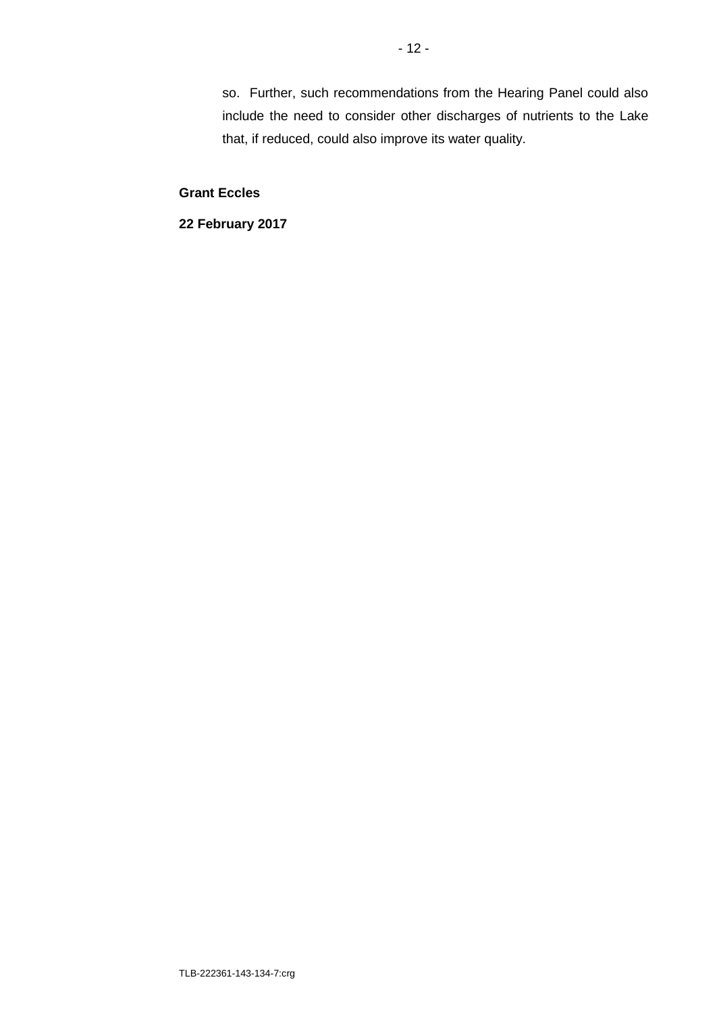so. Further, such recommendations from the Hearing Panel could also include the need to consider other discharges of nutrients to the Lake that, if reduced, could also improve its water quality.

**Grant Eccles**

**22 February 2017**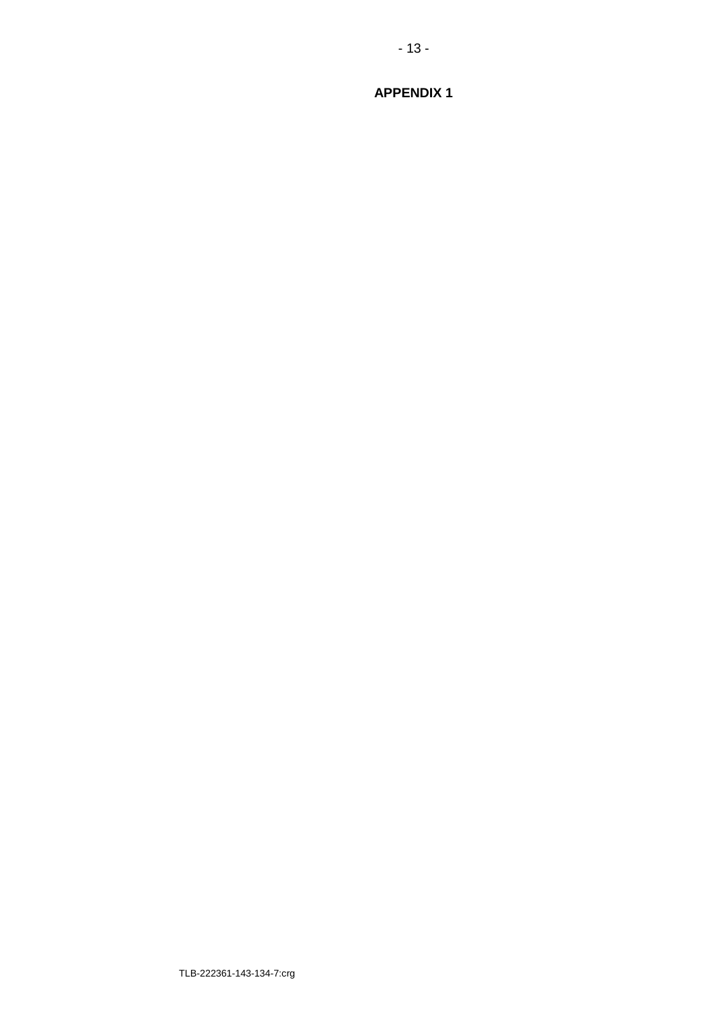**APPENDIX 1** 

 $-13-$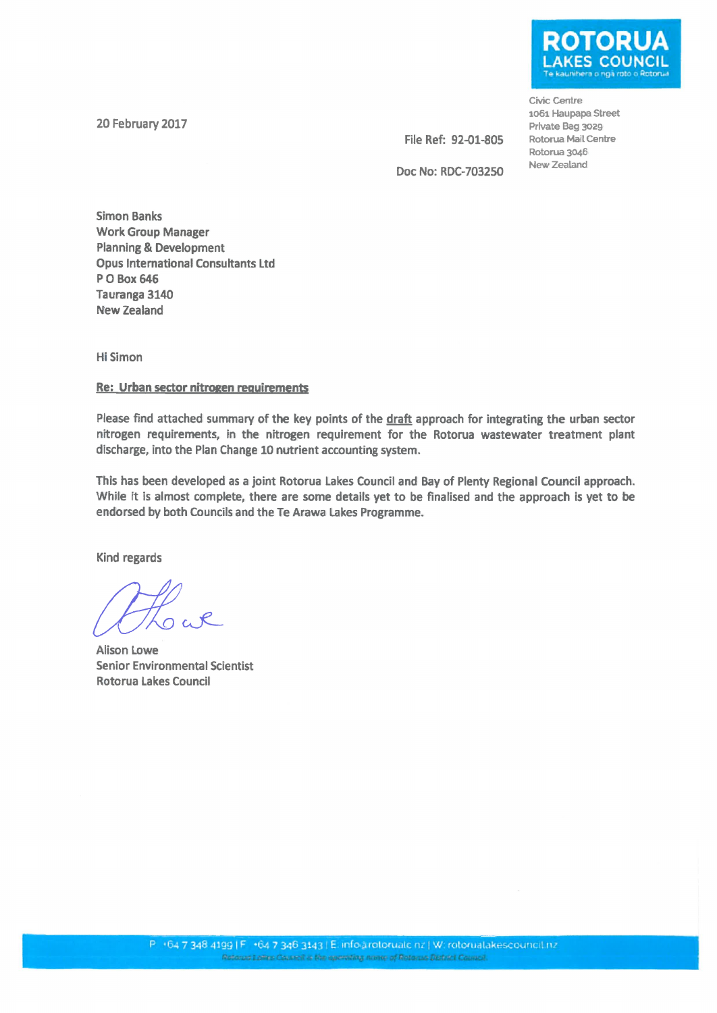20 February 2017

**KES COUNCIL** 

Civic Centre 1061 Haupapa Street Private Bag 3029 Rotorua Mail Centre Rotorua 3046 New Zealand

File Ref: 92-01-805 Doc No: RDC-703250

**Simon Banks Work Group Manager Planning & Development Opus International Consultants Ltd** P O Box 646 Tauranga 3140 **New Zealand** 

**Hi Simon** 

### Re: Urban sector nitrogen requirements

Please find attached summary of the key points of the draft approach for integrating the urban sector nitrogen requirements, in the nitrogen requirement for the Rotorua wastewater treatment plant discharge, into the Plan Change 10 nutrient accounting system.

This has been developed as a joint Rotorua Lakes Council and Bay of Plenty Regional Council approach. While it is almost complete, there are some details yet to be finalised and the approach is yet to be endorsed by both Councils and the Te Arawa Lakes Programme.

Kind regards

**Alison Lowe Senior Environmental Scientist Rotorua Lakes Council**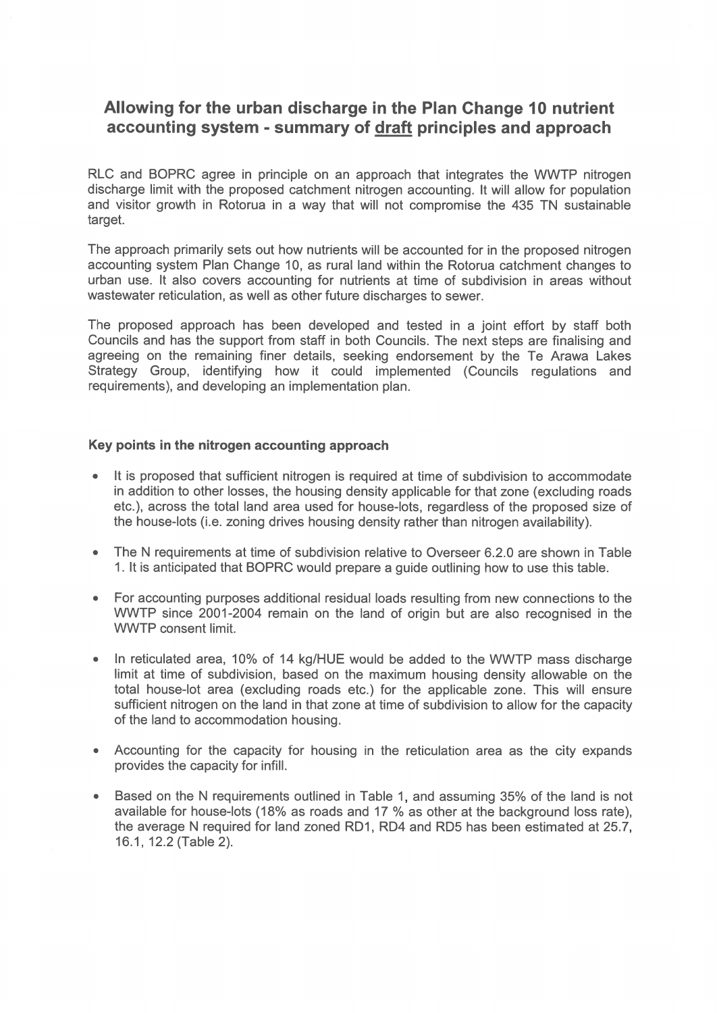## Allowing for the urban discharge in the Plan Change 10 nutrient accounting system - summary of draft principles and approach

RLC and BOPRC agree in principle on an approach that integrates the WWTP nitrogen discharge limit with the proposed catchment nitrogen accounting. It will allow for population and visitor growth in Rotorua in a way that will not compromise the 435 TN sustainable target.

The approach primarily sets out how nutrients will be accounted for in the proposed nitrogen accounting system Plan Change 10, as rural land within the Rotorua catchment changes to urban use. It also covers accounting for nutrients at time of subdivision in areas without wastewater reticulation, as well as other future discharges to sewer.

The proposed approach has been developed and tested in a joint effort by staff both Councils and has the support from staff in both Councils. The next steps are finalising and agreeing on the remaining finer details, seeking endorsement by the Te Arawa Lakes Strategy Group, identifying how it could implemented (Councils regulations and requirements), and developing an implementation plan.

### Key points in the nitrogen accounting approach

- It is proposed that sufficient nitrogen is required at time of subdivision to accommodate in addition to other losses, the housing density applicable for that zone (excluding roads etc.), across the total land area used for house-lots, regardless of the proposed size of the house-lots (i.e. zoning drives housing density rather than nitrogen availability).
- The N requirements at time of subdivision relative to Overseer 6.2.0 are shown in Table  $\bullet$ 1. It is anticipated that BOPRC would prepare a guide outlining how to use this table.
- For accounting purposes additional residual loads resulting from new connections to the WWTP since 2001-2004 remain on the land of origin but are also recognised in the **WWTP** consent limit.
- In reticulated area, 10% of 14 kg/HUE would be added to the WWTP mass discharge limit at time of subdivision, based on the maximum housing density allowable on the total house-lot area (excluding roads etc.) for the applicable zone. This will ensure sufficient nitrogen on the land in that zone at time of subdivision to allow for the capacity of the land to accommodation housing.
- Accounting for the capacity for housing in the reticulation area as the city expands  $\bullet$ provides the capacity for infill.
- Based on the N requirements outlined in Table 1, and assuming 35% of the land is not available for house-lots (18% as roads and 17 % as other at the background loss rate), the average N required for land zoned RD1, RD4 and RD5 has been estimated at 25.7, 16.1, 12.2 (Table 2).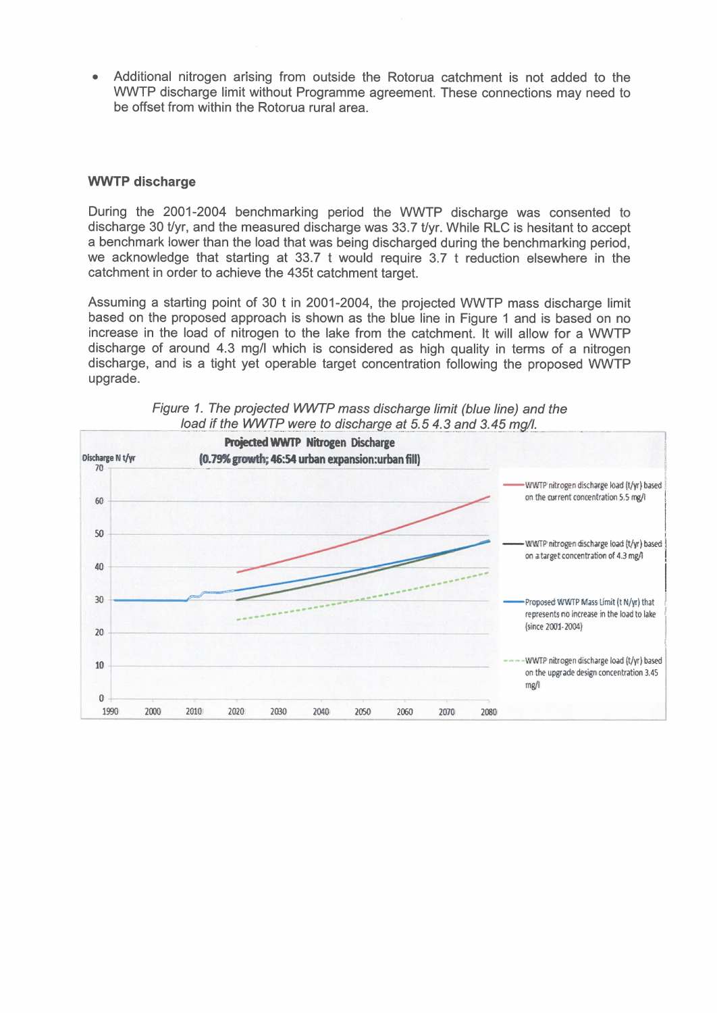Additional nitrogen arising from outside the Rotorua catchment is not added to the WWTP discharge limit without Programme agreement. These connections may need to be offset from within the Rotorua rural area.

### **WWTP discharge**

During the 2001-2004 benchmarking period the WWTP discharge was consented to discharge 30 t/yr, and the measured discharge was 33.7 t/yr. While RLC is hesitant to accept a benchmark lower than the load that was being discharged during the benchmarking period. we acknowledge that starting at 33.7 t would require 3.7 t reduction elsewhere in the catchment in order to achieve the 435t catchment target.

Assuming a starting point of 30 t in 2001-2004, the projected WWTP mass discharge limit based on the proposed approach is shown as the blue line in Figure 1 and is based on no increase in the load of nitrogen to the lake from the catchment. It will allow for a WWTP discharge of around 4.3 mg/l which is considered as high quality in terms of a nitrogen discharge, and is a tight yet operable target concentration following the proposed WWTP upgrade.



Figure 1. The projected WWTP mass discharge limit (blue line) and the load if the WWTP were to discharge at 5.5 4.3 and 3.45 mg/l.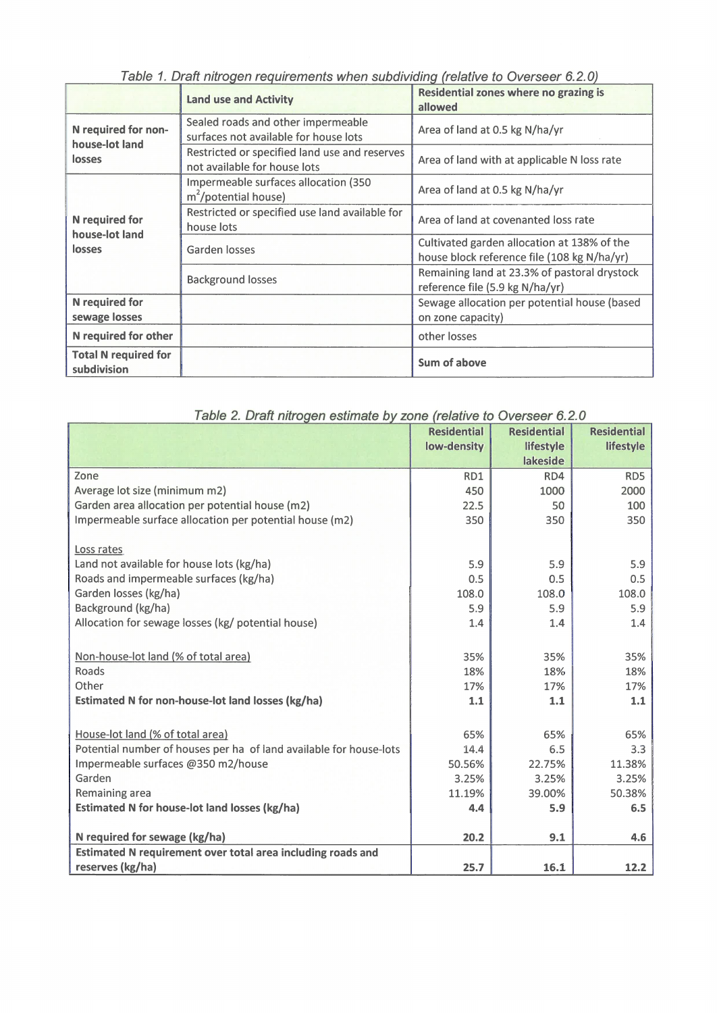| Table T. Drait Hill Uyeri Teyuli chights Wileh Suburviully trelative to OverSect 0.2.07 |                                                                               |                                                                                            |  |
|-----------------------------------------------------------------------------------------|-------------------------------------------------------------------------------|--------------------------------------------------------------------------------------------|--|
|                                                                                         | <b>Land use and Activity</b>                                                  | <b>Residential zones where no grazing is</b><br>allowed                                    |  |
| N required for non-<br>house-lot land<br>losses                                         | Sealed roads and other impermeable<br>surfaces not available for house lots   | Area of land at 0.5 kg N/ha/yr                                                             |  |
|                                                                                         | Restricted or specified land use and reserves<br>not available for house lots | Area of land with at applicable N loss rate                                                |  |
| N required for<br>house-lot land<br>losses                                              | Impermeable surfaces allocation (350<br>$m^2$ /potential house)               | Area of land at 0.5 kg N/ha/yr                                                             |  |
|                                                                                         | Restricted or specified use land available for<br>house lots                  | Area of land at covenanted loss rate                                                       |  |
|                                                                                         | Garden losses                                                                 | Cultivated garden allocation at 138% of the<br>house block reference file (108 kg N/ha/yr) |  |
|                                                                                         | <b>Background losses</b>                                                      | Remaining land at 23.3% of pastoral drystock<br>reference file (5.9 kg N/ha/yr)            |  |
| <b>N</b> required for<br>sewage losses                                                  |                                                                               | Sewage allocation per potential house (based<br>on zone capacity)                          |  |
| N required for other                                                                    |                                                                               | other losses                                                                               |  |
| <b>Total N required for</b><br>subdivision                                              |                                                                               | Sum of above                                                                               |  |

Table 1. Draft nitrogen requirements when subdividing (relative to Overseer 6.2.0)

| Table 2. Draft nitrogen estimate by zone (relative to Overseer 6.2.0 |                    |                    |                    |
|----------------------------------------------------------------------|--------------------|--------------------|--------------------|
|                                                                      | <b>Residential</b> | <b>Residential</b> | <b>Residential</b> |
|                                                                      | low-density        | lifestyle          | lifestyle          |
|                                                                      |                    | lakeside           |                    |
| Zone                                                                 | RD1                | RD4                | RD5                |
| Average lot size (minimum m2)                                        | 450                | 1000               | 2000               |
| Garden area allocation per potential house (m2)                      | 22.5               | 50                 | 100                |
| Impermeable surface allocation per potential house (m2)              | 350                | 350                | 350                |
| Loss rates                                                           |                    |                    |                    |
| Land not available for house lots (kg/ha)                            | 5.9                | 5.9                | 5.9                |
| Roads and impermeable surfaces (kg/ha)                               | 0.5                | 0.5                | 0.5                |
| Garden losses (kg/ha)                                                | 108.0              | 108.0              | 108.0              |
| Background (kg/ha)                                                   | 5.9                | 5.9                | 5.9                |
| Allocation for sewage losses (kg/ potential house)                   | 1.4                | 1.4                | 1.4                |
| Non-house-lot land (% of total area)                                 | 35%                | 35%                | 35%                |
| Roads                                                                | 18%                | 18%                | 18%                |
| Other                                                                | 17%                | 17%                | 17%                |
| Estimated N for non-house-lot land losses (kg/ha)                    | 1.1                | 1.1                | 1.1                |
|                                                                      |                    |                    |                    |
| House-lot land (% of total area)                                     | 65%                | 65%                | 65%                |
| Potential number of houses per ha of land available for house-lots   | 14.4               | 6.5                | 3.3                |
| Impermeable surfaces @350 m2/house                                   | 50.56%             | 22.75%             | 11.38%             |
| Garden                                                               | 3.25%              | 3.25%              | 3.25%              |
| Remaining area                                                       | 11.19%             | 39.00%             | 50.38%             |
| Estimated N for house-lot land losses (kg/ha)                        | 4.4                | 5.9                | 6.5                |
| N required for sewage (kg/ha)                                        | 20.2               | 9.1                | 4.6                |
| Estimated N requirement over total area including roads and          |                    |                    |                    |
| reserves (kg/ha)                                                     | 25.7               | 16.1               | 12.2               |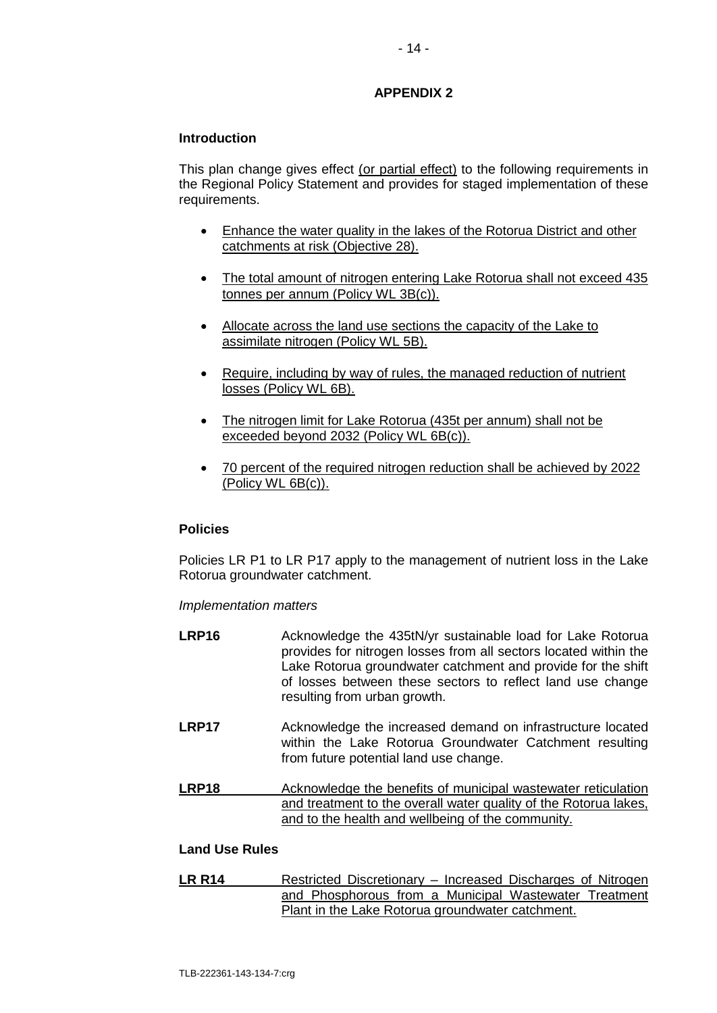## **APPENDIX 2**

### **Introduction**

This plan change gives effect (or partial effect) to the following requirements in the Regional Policy Statement and provides for staged implementation of these requirements.

- Enhance the water quality in the lakes of the Rotorua District and other catchments at risk (Objective 28).
- The total amount of nitrogen entering Lake Rotorua shall not exceed 435 tonnes per annum (Policy WL 3B(c)).
- Allocate across the land use sections the capacity of the Lake to assimilate nitrogen (Policy WL 5B).
- Require, including by way of rules, the managed reduction of nutrient losses (Policy WL 6B).
- The nitrogen limit for Lake Rotorua (435t per annum) shall not be exceeded beyond 2032 (Policy WL 6B(c)).
- 70 percent of the required nitrogen reduction shall be achieved by 2022 (Policy WL 6B(c)).

### **Policies**

Policies LR P1 to LR P17 apply to the management of nutrient loss in the Lake Rotorua groundwater catchment.

### *Implementation matters*

- LRP16 Acknowledge the 435tN/yr sustainable load for Lake Rotorua provides for nitrogen losses from all sectors located within the Lake Rotorua groundwater catchment and provide for the shift of losses between these sectors to reflect land use change resulting from urban growth.
- **LRP17** Acknowledge the increased demand on infrastructure located within the Lake Rotorua Groundwater Catchment resulting from future potential land use change.
- **LRP18** Acknowledge the benefits of municipal wastewater reticulation and treatment to the overall water quality of the Rotorua lakes, and to the health and wellbeing of the community.

## **Land Use Rules**

**LR R14** Restricted Discretionary – Increased Discharges of Nitrogen and Phosphorous from a Municipal Wastewater Treatment Plant in the Lake Rotorua groundwater catchment.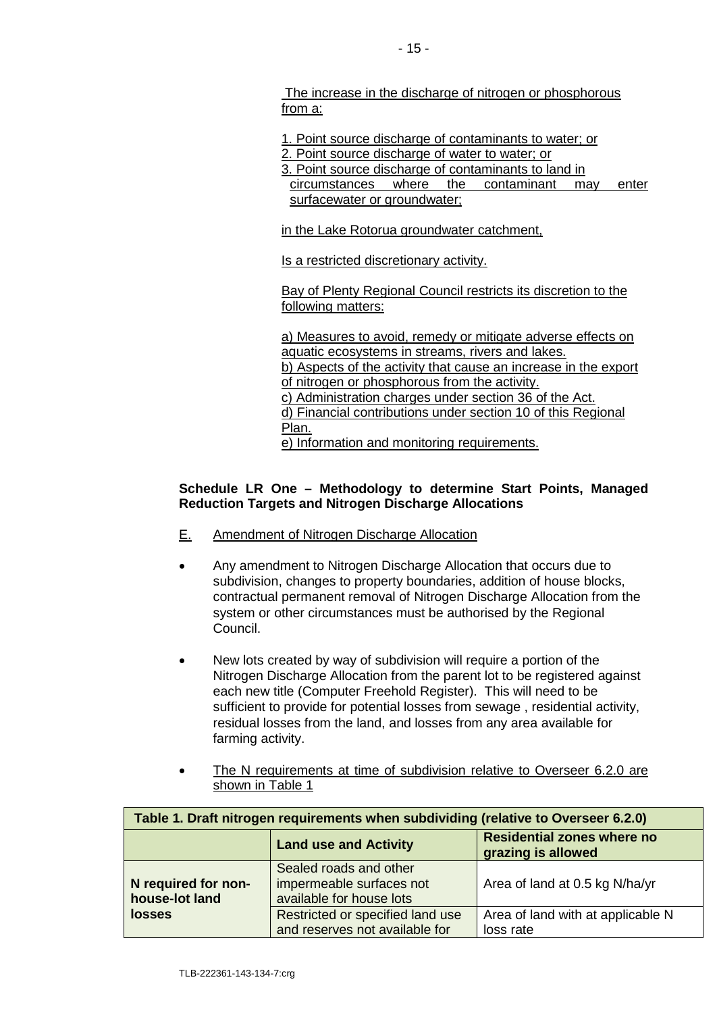The increase in the discharge of nitrogen or phosphorous from a:

1. Point source discharge of contaminants to water; or

- 2. Point source discharge of water to water; or
- 

3. Point source discharge of contaminants to land in<br>circumstances where the contaminant may circumstances where the contaminant may enter surfacewater or groundwater;

in the Lake Rotorua groundwater catchment,

Is a restricted discretionary activity.

Bay of Plenty Regional Council restricts its discretion to the following matters:

a) Measures to avoid, remedy or mitigate adverse effects on aquatic ecosystems in streams, rivers and lakes. b) Aspects of the activity that cause an increase in the export of nitrogen or phosphorous from the activity. c) Administration charges under section 36 of the Act. d) Financial contributions under section 10 of this Regional Plan. e) Information and monitoring requirements.

## **Schedule LR One – Methodology to determine Start Points, Managed Reduction Targets and Nitrogen Discharge Allocations**

- E. Amendment of Nitrogen Discharge Allocation
- Any amendment to Nitrogen Discharge Allocation that occurs due to subdivision, changes to property boundaries, addition of house blocks, contractual permanent removal of Nitrogen Discharge Allocation from the system or other circumstances must be authorised by the Regional Council.
- New lots created by way of subdivision will require a portion of the Nitrogen Discharge Allocation from the parent lot to be registered against each new title (Computer Freehold Register). This will need to be sufficient to provide for potential losses from sewage , residential activity, residual losses from the land, and losses from any area available for farming activity.
- The N requirements at time of subdivision relative to Overseer 6.2.0 are shown in Table 1

| Table 1. Draft nitrogen requirements when subdividing (relative to Overseer 6.2.0) |                                                                                |                                                         |  |
|------------------------------------------------------------------------------------|--------------------------------------------------------------------------------|---------------------------------------------------------|--|
|                                                                                    | <b>Land use and Activity</b>                                                   | <b>Residential zones where no</b><br>grazing is allowed |  |
| N required for non-<br>house-lot land                                              | Sealed roads and other<br>impermeable surfaces not<br>available for house lots | Area of land at 0.5 kg N/ha/yr                          |  |
| <b>losses</b>                                                                      | Restricted or specified land use<br>and reserves not available for             | Area of land with at applicable N<br>loss rate          |  |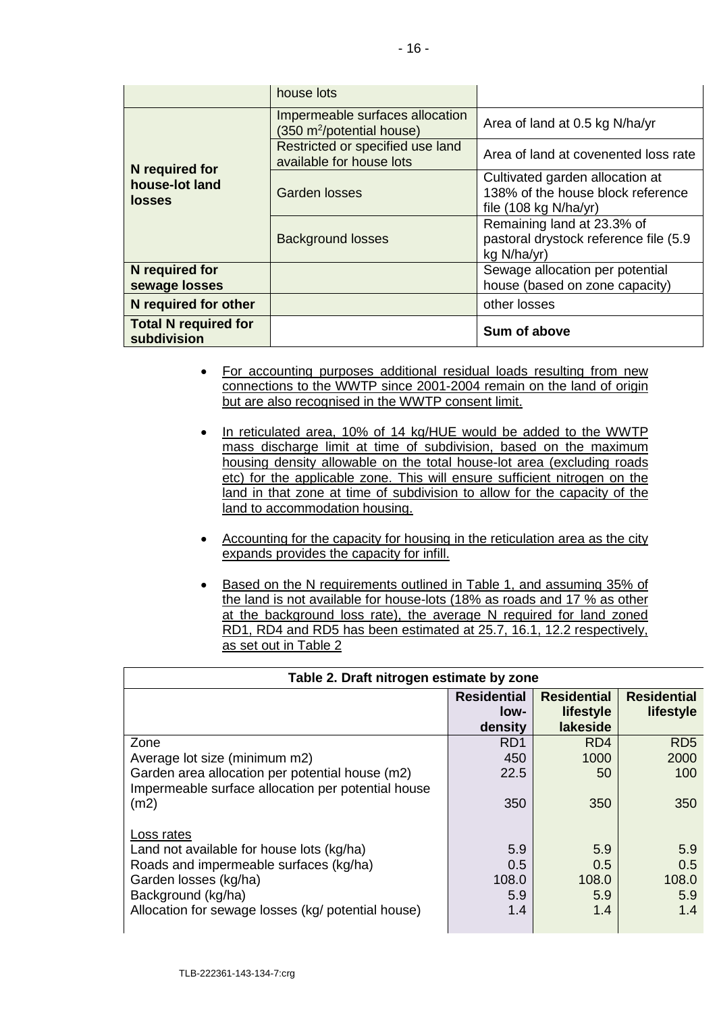|                                            | house lots                                                               |                                                                                                         |  |
|--------------------------------------------|--------------------------------------------------------------------------|---------------------------------------------------------------------------------------------------------|--|
|                                            | Impermeable surfaces allocation<br>(350 m <sup>2</sup> /potential house) | Area of land at 0.5 kg N/ha/yr                                                                          |  |
| N required for                             | Restricted or specified use land<br>available for house lots             | Area of land at covenented loss rate                                                                    |  |
| house-lot land<br><b>losses</b>            | Garden losses                                                            | Cultivated garden allocation at<br>138% of the house block reference<br>file $(108 \text{ kg N/ha/yr})$ |  |
|                                            | <b>Background losses</b>                                                 | Remaining land at 23.3% of<br>pastoral drystock reference file (5.9<br>kg N/ha/yr)                      |  |
| N required for                             |                                                                          | Sewage allocation per potential                                                                         |  |
| sewage losses                              |                                                                          | house (based on zone capacity)                                                                          |  |
| N required for other                       |                                                                          | other losses                                                                                            |  |
| <b>Total N required for</b><br>subdivision |                                                                          | Sum of above                                                                                            |  |

- For accounting purposes additional residual loads resulting from new connections to the WWTP since 2001-2004 remain on the land of origin but are also recognised in the WWTP consent limit.
- In reticulated area, 10% of 14 kg/HUE would be added to the WWTP mass discharge limit at time of subdivision, based on the maximum housing density allowable on the total house-lot area (excluding roads etc) for the applicable zone. This will ensure sufficient nitrogen on the land in that zone at time of subdivision to allow for the capacity of the land to accommodation housing.
- Accounting for the capacity for housing in the reticulation area as the city expands provides the capacity for infill.
- Based on the N requirements outlined in Table 1, and assuming 35% of the land is not available for house-lots (18% as roads and 17 % as other at the background loss rate), the average N required for land zoned RD1, RD4 and RD5 has been estimated at 25.7, 16.1, 12.2 respectively, as set out in Table 2

| Table 2. Draft nitrogen estimate by zone           |                    |                    |                    |
|----------------------------------------------------|--------------------|--------------------|--------------------|
|                                                    | <b>Residential</b> | <b>Residential</b> | <b>Residential</b> |
|                                                    | low-               | lifestyle          | lifestyle          |
|                                                    | density            | lakeside           |                    |
| Zone                                               | RD <sub>1</sub>    | RD <sub>4</sub>    | RD <sub>5</sub>    |
| Average lot size (minimum m2)                      | 450                | 1000               | 2000               |
| Garden area allocation per potential house (m2)    | 22.5               | 50                 | 100                |
| Impermeable surface allocation per potential house |                    |                    |                    |
| (m2)                                               | 350                | 350                | 350                |
|                                                    |                    |                    |                    |
| Loss rates                                         |                    |                    |                    |
| Land not available for house lots (kg/ha)          | 5.9                | 5.9                | 5.9                |
| Roads and impermeable surfaces (kg/ha)             | 0.5                | 0.5                | 0.5                |
| Garden losses (kg/ha)                              | 108.0              | 108.0              | 108.0              |
| Background (kg/ha)                                 | 5.9                | 5.9                | 5.9                |
| Allocation for sewage losses (kg/ potential house) | 1.4                | 1.4                | 1.4                |
|                                                    |                    |                    |                    |

# **Table 2. Draft nitrogen estimate by zone**